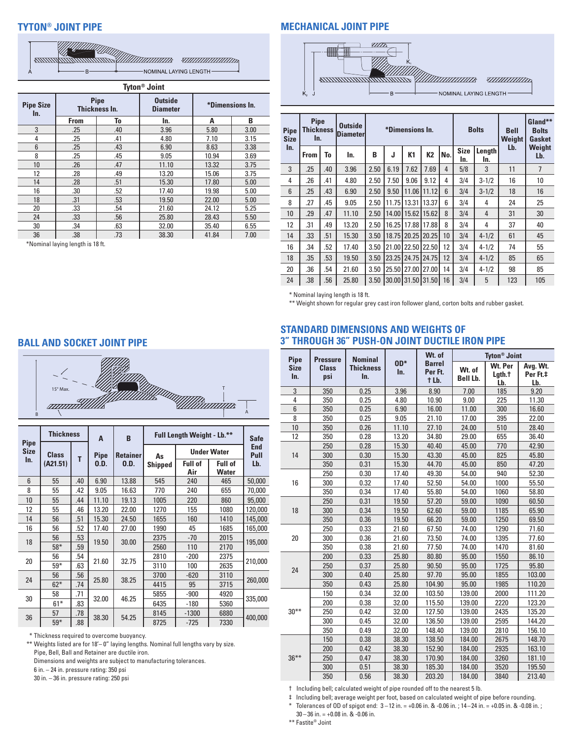# **TYTON® JOINT PIPE**

| ANNUMERO DE MARINE A MARINE E A CARDINALE A CARDINALE A CARDINALE A CARDINALE A CARDINALE A CARDINALE CARDINALE A CARDINALE CARDINALE CARDINALE CARDINALE CARDINALE CARDINALE CARDINALE CARDINALE CARDINALE CARDINALE CARDINAL<br><i>MIIIIIIIIIIIIIIIIII</i> |  |
|--------------------------------------------------------------------------------------------------------------------------------------------------------------------------------------------------------------------------------------------------------------|--|
| —— NOMINAL LAYING LENGTH —                                                                                                                                                                                                                                   |  |

| <b>Tyton<sup>®</sup> Joint</b> |                                  |                       |                                   |       |                 |  |  |  |  |  |
|--------------------------------|----------------------------------|-----------------------|-----------------------------------|-------|-----------------|--|--|--|--|--|
| <b>Pipe Size</b><br>In.        |                                  | Pipe<br>Thickness In. | <b>Outside</b><br><b>Diameter</b> |       | *Dimensions In. |  |  |  |  |  |
|                                | <b>From</b>                      | To                    | In.                               | A     | B               |  |  |  |  |  |
| 3                              | .25                              | .40                   | 3.96                              | 5.80  | 3.00            |  |  |  |  |  |
| 4                              | .25                              | .41                   | 4.80                              | 7.10  | 3.15            |  |  |  |  |  |
| $6\phantom{1}$                 | .25                              | .43                   | 6.90                              | 8.63  | 3.38            |  |  |  |  |  |
| 8                              | .25                              | .45                   | 9.05                              | 10.94 | 3.69            |  |  |  |  |  |
| 10 <sup>1</sup>                | .26                              | .47                   | 11.10                             | 13.32 | 3.75            |  |  |  |  |  |
| 12                             | .28                              | .49                   | 13.20                             | 15.06 | 3.75            |  |  |  |  |  |
| 14                             | .28                              | .51                   | 15.30                             | 17.80 | 5.00            |  |  |  |  |  |
| 16                             | .30                              | .52                   | 17.40                             | 19.98 | 5.00            |  |  |  |  |  |
| 18                             | .31                              | .53                   | 19.50                             | 22.00 | 5.00            |  |  |  |  |  |
| 20                             | .33                              | .54                   | 21.60                             | 24.12 | 5.25            |  |  |  |  |  |
| 24                             | .33                              | .56                   | 25.80                             | 28.43 | 5.50            |  |  |  |  |  |
| 30                             | .34                              | .63                   | 32.00                             | 35.40 | 6.55            |  |  |  |  |  |
| 36                             | .38                              | .73                   | 38.30                             | 41.84 | 7.00            |  |  |  |  |  |
|                                | *Nominal laying length is 18 ft. |                       |                                   |       |                 |  |  |  |  |  |

**MECHANICAL JOINT PIPE**



| <b>Pipe</b><br><b>Size</b> | <b>Pipe</b><br><b>Thickness</b><br>In. |     | <b>Outside</b><br><b>Diameter</b> | *Dimensions In. |      |                   |                   |     | <b>Bolts</b>       |               | <b>Bell</b><br>Weight | Gland**<br><b>Bolts</b><br>Gasket |
|----------------------------|----------------------------------------|-----|-----------------------------------|-----------------|------|-------------------|-------------------|-----|--------------------|---------------|-----------------------|-----------------------------------|
| In.                        | From                                   | To  | In.                               | B               | J    | K <sub>1</sub>    | K2                | No. | <b>Size</b><br>In. | Length<br>In. | Lb.                   | Weight<br>Lb.                     |
| 3                          | .25                                    | .40 | 3.96                              | 2.50            | 6.19 | 7.62              | 7.69              | 4   | 5/8                | 3             | 11                    | 7                                 |
| 4                          | .26                                    | .41 | 4.80                              | 2.50            | 7.50 | 9.06              | 9.12              | 4   | 3/4                | $3 - 1/2$     | 16                    | 10                                |
| 6                          | .25                                    | .43 | 6.90                              | 2.50            | 9.50 | 11.06             | 11.12             | 6   | 3/4                | $3 - 1/2$     | 18                    | 16                                |
| 8                          | .27                                    | .45 | 9.05                              | 2.50            |      | 11.75 13.31       | 13.37             | 6   | 3/4                | 4             | 24                    | 25                                |
| 10                         | .29                                    | .47 | 11.10                             | 2.50            |      | 14.00   15.62     | 15.62             | 8   | 3/4                | 4             | 31                    | 30                                |
| 12                         | .31                                    | .49 | 13.20                             | 2.50            |      | 16.25 17.88       | 17.88             | 8   | 3/4                | 4             | 37                    | 40                                |
| 14                         | .33                                    | .51 | 15.30                             | 3.50            |      | 18.75 20.25 20.25 |                   | 10  | 3/4                | $4 - 1/2$     | 61                    | 45                                |
| 16                         | .34                                    | .52 | 17.40                             | 3.50            |      | 21.00 22.50 22.50 |                   | 12  | 3/4                | $4 - 1/2$     | 74                    | 55                                |
| 18                         | .35                                    | .53 | 19.50                             | 3.50            |      | 23.25 24.75       | 24.75             | 12  | 3/4                | $4 - 1/2$     | 85                    | 65                                |
| 20                         | .36                                    | .54 | 21.60                             | 3.50            |      | 25.50 27.00 27.00 |                   | 14  | 3/4                | $4 - 1/2$     | 98                    | 85                                |
| 24                         | .38                                    | .56 | 25.80                             | 3.50            |      |                   | 30.00 31.50 31.50 | 16  | 3/4                | 5             | 123                   | 105                               |

\* Nominal laying length is 18 ft.

\*\* Weight shown for regular grey cast iron follower gland, corton bolts and rubber gasket.

**BALL AND SOCKET JOINT PIPE**



| <b>Pipe</b>        | <b>Thickness</b>         |     | A           | B               | Full Length Weight - Lb.** | <b>Safe</b>           |                         |         |         |
|--------------------|--------------------------|-----|-------------|-----------------|----------------------------|-----------------------|-------------------------|---------|---------|
| <b>Size</b><br>In. | <b>Class</b><br>(A21.51) | T   | <b>Pipe</b> | <b>Retainer</b> | As                         | <b>Under Water</b>    | <b>End</b><br>Pull      |         |         |
|                    |                          |     | 0.D.        | 0.D.            | <b>Shipped</b>             | <b>Full of</b><br>Air | <b>Full of</b><br>Water | Lb.     |         |
| 6                  | 55                       | .40 | 6.90        | 13.88           | 545                        | 240                   | 465                     | 50,000  |         |
| 8                  | 55                       | .42 | 9.05        | 16.63           | 770                        | 240                   | 655                     | 70,000  |         |
| 10                 | 55                       | .44 | 11.10       | 19.13           | 1005                       | 220                   | 860                     | 95,000  |         |
| 12                 | 55                       | .46 | 13.20       | 22.00           | 1270                       | 155                   | 1080                    | 120,000 |         |
| 14                 | 56                       | .51 | 15.30       | 24.50           | 1655                       | 160                   | 1410                    | 145,000 |         |
| 16                 | 56                       | .52 | 17.40       | 27.00           | 1990                       | 45                    | 1685                    | 165,000 |         |
| 18                 | 56                       | .53 | 19.50       |                 | 30.00                      | 2375                  | $-70$                   | 2015    | 195,000 |
|                    | $58*$                    | .59 |             |                 | 2560                       | 110                   | 2170                    |         |         |
| 20                 | 56                       | .54 |             | 21.60           | 32.75                      | 2810                  | $-200$                  | 2375    | 210,000 |
|                    | $59^{\ast}$              | .63 |             |                 | 3110                       | 100                   | 2635                    |         |         |
| 24                 | 56                       | .56 | 25.80       | 38.25           | 3700                       | $-620$                | 3110                    | 260,000 |         |
|                    | $62*$                    | .74 |             |                 | 4415                       | 95                    | 3715                    |         |         |
| 30                 | 58                       | .71 | 32.00       | 46.25           | 5855                       | $-900$                | 4920                    | 335,000 |         |
|                    | $61*$                    | .83 |             |                 | 6435                       | $-180$                | 5360                    |         |         |
| 36                 | 57                       | .78 | 38.30       | 54.25           | 8145                       | $-1300$               | 6880                    | 400.000 |         |
|                    | $59*$                    | .88 |             |                 | 8725                       | $-725$                | 7330                    |         |         |

\* Thickness required to overcome buoyancy.

\*\* Weights listed are for 18'– 0" laying lengths. Nominal full lengths vary by size. Pipe, Bell, Ball and Retainer are ductile iron.

Dimensions and weights are subject to manufacturing tolerances.

6 in. – 24 in. pressure rating: 350 psi

30 in. – 36 in. pressure rating: 250 psi

#### **STANDARD DIMENSIONS AND WEIGHTS OF 3" THROUGH 36" PUSH-ON JOINT DUCTILE IRON PIPE**

| Pipe               | <b>Pressure</b>     | <b>Nominal</b>          |              | Wt. of                            | <b>Tyton<sup>®</sup> Joint</b> |                          |                             |  |
|--------------------|---------------------|-------------------------|--------------|-----------------------------------|--------------------------------|--------------------------|-----------------------------|--|
| <b>Size</b><br>In. | <b>Class</b><br>psi | <b>Thickness</b><br>In. | $0D*$<br>In. | <b>Barrel</b><br>Per Ft.<br>t Lb. | Wt. of<br>Bell Lb.             | Wt. Per<br>Lgth.t<br>Lb. | Avg. Wt.<br>Per Ft.‡<br>Lb. |  |
| 3                  | 350                 | 0.25                    | 3.96         | 8.90                              | 7.00                           | 185                      | 9.20                        |  |
| 4                  | 350                 | 0.25                    | 4.80         | 10.90                             | 9.00                           | 225                      | 11.30                       |  |
| $6\phantom{1}$     | 350                 | 0.25                    | 6.90         | 16.00                             | 11.00                          | 300                      | 16.60                       |  |
| 8                  | 350                 | 0.25                    | 9.05         | 21.10                             | 17.00                          | 395                      | 22.00                       |  |
| 10                 | 350                 | 0.26                    | 11.10        | 27.10                             | 24.00                          | 510                      | 28.40                       |  |
| 12                 | 350                 | 0.28                    | 13.20        | 34.80                             | 29.00                          | 655                      | 36.40                       |  |
|                    | 250                 | 0.28                    | 15.30        | 40.40                             | 45.00                          | 770                      | 42.90                       |  |
| 14                 | 300                 | 0.30                    | 15.30        | 43.30                             | 45.00                          | 825                      | 45.80                       |  |
|                    | 350                 | 0.31                    | 15.30        | 44.70                             | 45.00                          | 850                      | 47.20                       |  |
|                    | 250                 | 0.30                    | 17.40        | 49.30                             | 54.00                          | 940                      | 52.30                       |  |
| 16                 | 300                 | 0.32                    | 17.40        | 52.50                             | 54.00                          | 1000                     | 55.50                       |  |
|                    | 350                 | 0.34                    | 17.40        | 55.80                             | 54.00                          | 1060                     | 58.80                       |  |
|                    | 250                 | 0.31                    | 19.50        | 57.20                             | 59.00                          | 1090                     | 60.50                       |  |
| 18                 | 300                 | 0.34                    | 19.50        | 62.60                             | 59.00                          | 1185                     | 65.90                       |  |
|                    | 350                 | 0.36                    | 19.50        | 66.20                             | 59.00                          | 1250                     | 69.50                       |  |
|                    | 250                 | 0.33                    | 21.60        | 67.50                             | 74.00                          | 1290                     | 71.60                       |  |
| 20                 | 300                 | 0.36                    | 21.60        | 73.50                             | 74.00                          | 1395                     | 77.60                       |  |
|                    | 350                 | 0.38                    | 21.60        | 77.50                             | 74.00                          | 1470                     | 81.60                       |  |
|                    | 200                 | 0.33                    | 25.80        | 80.80                             | 95.00                          | 1550                     | 86.10                       |  |
|                    | 250                 | 0.37                    | 25.80        | 90.50                             | 95.00                          | 1725                     | 95.80                       |  |
| 24                 | 300                 | 0.40                    | 25.80        | 97.70                             | 95.00                          | 1855                     | 103.00                      |  |
|                    | 350                 | 0.43                    | 25.80        | 104.90                            | 95.00                          | 1985                     | 110.20                      |  |
|                    | 150                 | 0.34                    | 32.00        | 103.50                            | 139.00                         | 2000                     | 111.20                      |  |
|                    | 200                 | 0.38                    | 32.00        | 115.50                            | 139.00                         | 2220                     | 123.20                      |  |
| $30***$            | 250                 | 0.42                    | 32.00        | 127.50                            | 139.00                         | 2435                     | 135.20                      |  |
|                    | 300                 | 0.45                    | 32.00        | 136.50                            | 139.00                         | 2595                     | 144.20                      |  |
|                    | 350                 | 0.49                    | 32.00        | 148.40                            | 139.00                         | 2810                     | 156.10                      |  |
|                    | 150                 | 0.38                    | 38.30        | 138.50                            | 184.00                         | 2675                     | 148.70                      |  |
|                    | 200                 | 0.42                    | 38.30        | 152.90                            | 184.00                         | 2935                     | 163.10                      |  |
| $36***$            | 250                 | 0.47                    | 38.30        | 170.90                            | 184.00                         | 3260                     | 181.10                      |  |
|                    | 300                 | 0.51                    | 38.30        | 185.30                            | 184.00                         | 3520                     | 195.50                      |  |
|                    | 350                 | 0.56                    | 38.30        | 203.20                            | 184.00                         | 3840                     | 213.40                      |  |

† Including bell; calculated weight of pipe rounded off to the nearest 5 lb.

‡ Including bell; average weight per foot, based on calculated weight of pipe before rounding.

\* Tolerances of OD of spigot end: 3 –12 in. = +0.06 in. & -0.06 in. ; 14–24 in. = +0.05 in. & -0.08 in. ;  $30 - 36$  in.  $= +0.08$  in. &  $-0.06$  in.